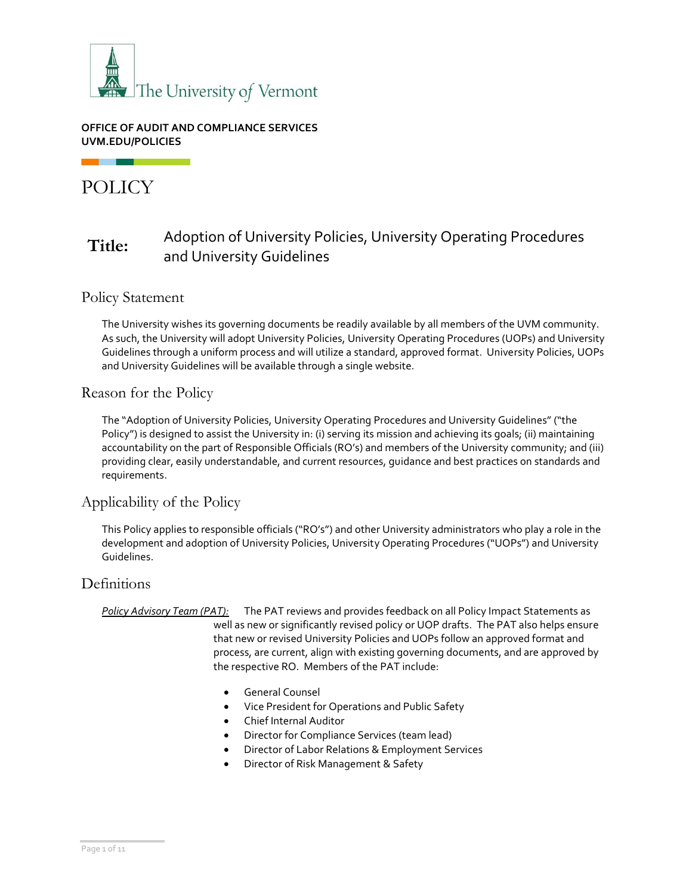

### **OFFICE OF AUDIT AND COMPLIANCE SERVICES UVM.EDU/POLICIES**

# POLICY

## **Title:** Adoption of University Policies, University Operating Procedures and University Guidelines

## Policy Statement

The University wishes its governing documents be readily available by all members of the UVM community. As such, the University will adopt University Policies, University Operating Procedures (UOPs) and University Guidelines through a uniform process and will utilize a standard, approved format. University Policies, UOPs and University Guidelines will be available through a single website.

## Reason for the Policy

The "Adoption of University Policies, University Operating Procedures and University Guidelines" ("the Policy") is designed to assist the University in: (i) serving its mission and achieving its goals; (ii) maintaining accountability on the part of Responsible Officials (RO's) and members of the University community; and (iii) providing clear, easily understandable, and current resources, guidance and best practices on standards and requirements.

## Applicability of the Policy

This Policy applies to responsible officials ("RO's") and other University administrators who play a role in the development and adoption of University Policies, University Operating Procedures ("UOPs") and University Guidelines.

## **Definitions**

*Policy Advisory Team (PAT):* The PAT reviews and provides feedback on all Policy Impact Statements as well as new or significantly revised policy or UOP drafts. The PAT also helps ensure that new or revised University Policies and UOPs follow an approved format and process, are current, align with existing governing documents, and are approved by the respective RO. Members of the PAT include:

- General Counsel
- Vice President for Operations and Public Safety
- Chief Internal Auditor
- Director for Compliance Services (team lead)
- Director of Labor Relations & Employment Services
- Director of Risk Management & Safety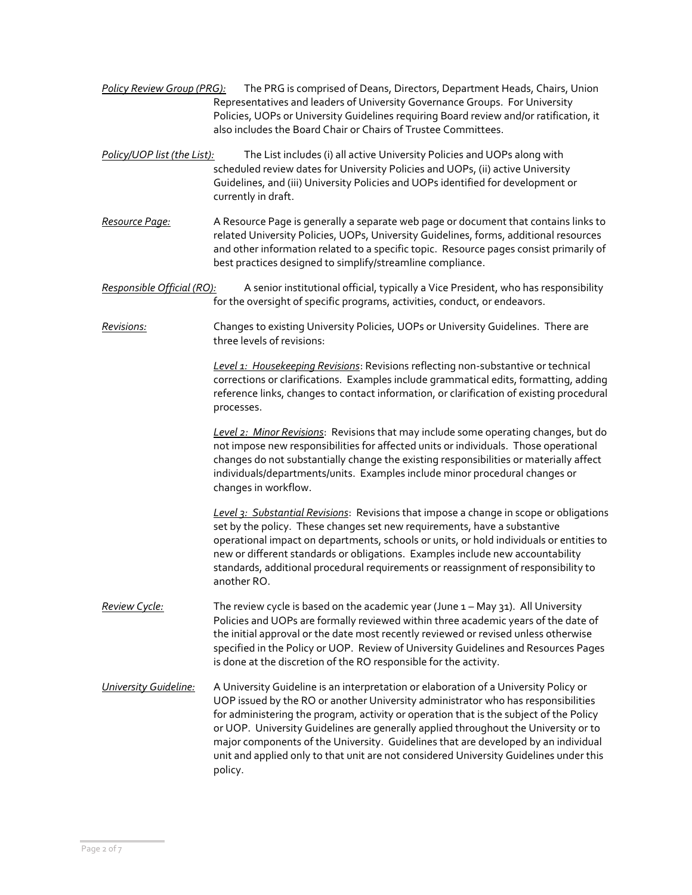- *Policy Review Group (PRG):* The PRG is comprised of Deans, Directors, Department Heads, Chairs, Union Representatives and leaders of University Governance Groups. For University Policies, UOPs or University Guidelines requiring Board review and/or ratification, it also includes the Board Chair or Chairs of Trustee Committees.
- *Policy/UOP list (the List):* The List includes (i) all active University Policies and UOPs along with scheduled review dates for University Policies and UOPs, (ii) active University Guidelines, and (iii) University Policies and UOPs identified for development or currently in draft.
- *Resource Page:* A Resource Page is generally a separate web page or document that contains links to related University Policies, UOPs, University Guidelines, forms, additional resources and other information related to a specific topic. Resource pages consist primarily of best practices designed to simplify/streamline compliance.
- *Responsible Official (RO):* A senior institutional official, typically a Vice President, who has responsibility for the oversight of specific programs, activities, conduct, or endeavors.
- *Revisions:* Changes to existing University Policies, UOPs or University Guidelines. There are three levels of revisions:

*Level 1: Housekeeping Revisions*: Revisions reflecting non-substantive or technical corrections or clarifications. Examples include grammatical edits, formatting, adding reference links, changes to contact information, or clarification of existing procedural processes.

*Level 2: Minor Revisions*: Revisions that may include some operating changes, but do not impose new responsibilities for affected units or individuals. Those operational changes do not substantially change the existing responsibilities or materially affect individuals/departments/units. Examples include minor procedural changes or changes in workflow.

*Level 3: Substantial Revisions*: Revisions that impose a change in scope or obligations set by the policy. These changes set new requirements, have a substantive operational impact on departments, schools or units, or hold individuals or entities to new or different standards or obligations. Examples include new accountability standards, additional procedural requirements or reassignment of responsibility to another RO.

- *Review Cycle:* The review cycle is based on the academic year (June 1 May 31). All University Policies and UOPs are formally reviewed within three academic years of the date of the initial approval or the date most recently reviewed or revised unless otherwise specified in the Policy or UOP. Review of University Guidelines and Resources Pages is done at the discretion of the RO responsible for the activity.
- *University Guideline:* A University Guideline is an interpretation or elaboration of a University Policy or UOP issued by the RO or another University administrator who has responsibilities for administering the program, activity or operation that is the subject of the Policy or UOP. University Guidelines are generally applied throughout the University or to major components of the University. Guidelines that are developed by an individual unit and applied only to that unit are not considered University Guidelines under this policy.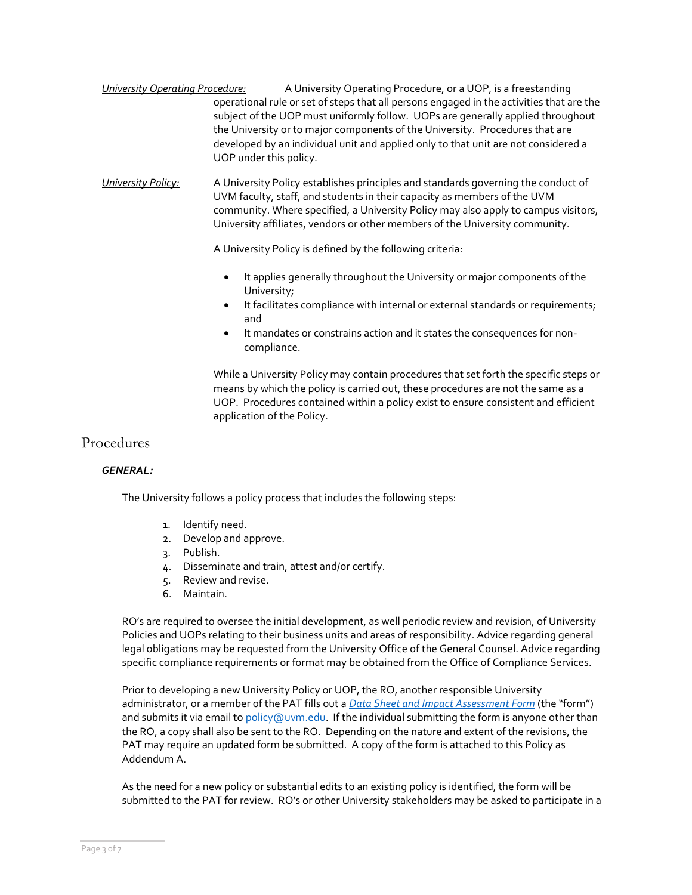- *University Operating Procedure:* A University Operating Procedure, or a UOP, is a freestanding operational rule or set of steps that all persons engaged in the activities that are the subject of the UOP must uniformly follow. UOPs are generally applied throughout the University or to major components of the University. Procedures that are developed by an individual unit and applied only to that unit are not considered a UOP under this policy.
- *University Policy:* A University Policy establishes principles and standards governing the conduct of UVM faculty, staff, and students in their capacity as members of the UVM community. Where specified, a University Policy may also apply to campus visitors, University affiliates, vendors or other members of the University community.

A University Policy is defined by the following criteria:

- It applies generally throughout the University or major components of the University;
- It facilitates compliance with internal or external standards or requirements; and
- It mandates or constrains action and it states the consequences for noncompliance.

While a University Policy may contain procedures that set forth the specific steps or means by which the policy is carried out, these procedures are not the same as a UOP. Procedures contained within a policy exist to ensure consistent and efficient application of the Policy.

## Procedures

#### *GENERAL:*

The University follows a policy process that includes the following steps:

- 1. Identify need.
- 2. Develop and approve.
- 3. Publish.
- 4. Disseminate and train, attest and/or certify.
- 5. Review and revise.
- 6. Maintain.

RO's are required to oversee the initial development, as well periodic review and revision, of University Policies and UOPs relating to their business units and areas of responsibility. Advice regarding general legal obligations may be requested from the University Office of the General Counsel. Advice regarding specific compliance requirements or format may be obtained from the Office of Compliance Services.

Prior to developing a new University Policy or UOP, the RO, another responsible University administrator, or a member of the PAT fills out a *[Data Sheet and Impact Assessment Form](https://www.uvm.edu/policies/forms/data-sheet-and-impact-assessment-form)* (the "form") and submits it via email t[o policy@uvm.edu.](mailto:policy@uvm.edu) If the individual submitting the form is anyone other than the RO, a copy shall also be sent to the RO. Depending on the nature and extent of the revisions, the PAT may require an updated form be submitted. A copy of the form is attached to this Policy as Addendum A.

As the need for a new policy or substantial edits to an existing policy is identified, the form will be submitted to the PAT for review. RO's or other University stakeholders may be asked to participate in a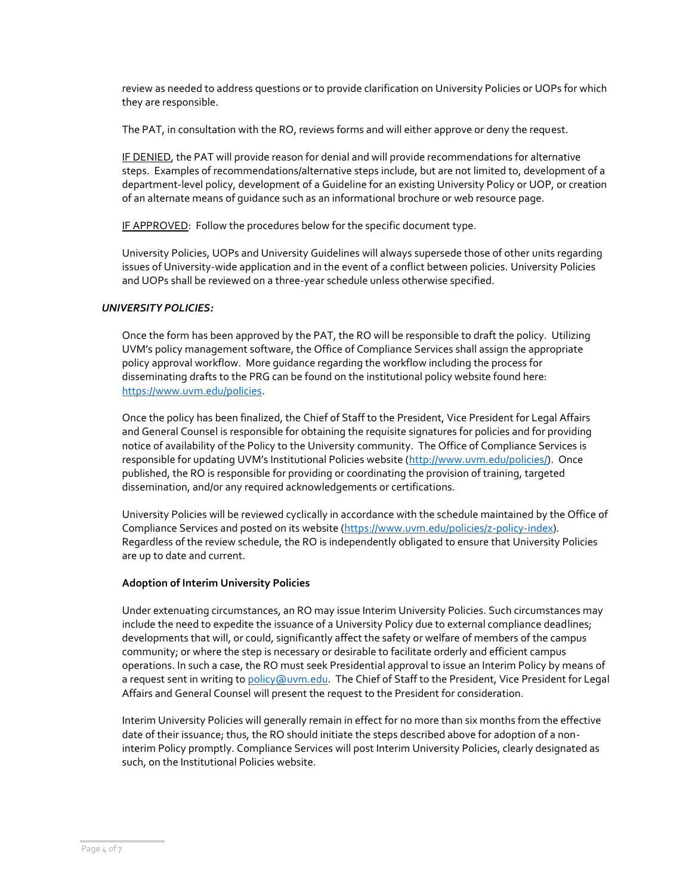review as needed to address questions or to provide clarification on University Policies or UOPs for which they are responsible.

The PAT, in consultation with the RO, reviews forms and will either approve or deny the request.

IF DENIED, the PAT will provide reason for denial and will provide recommendations for alternative steps. Examples of recommendations/alternative steps include, but are not limited to, development of a department-level policy, development of a Guideline for an existing University Policy or UOP, or creation of an alternate means of guidance such as an informational brochure or web resource page.

IF APPROVED: Follow the procedures below for the specific document type.

University Policies, UOPs and University Guidelines will always supersede those of other units regarding issues of University-wide application and in the event of a conflict between policies. University Policies and UOPs shall be reviewed on a three-year schedule unless otherwise specified.

#### *UNIVERSITY POLICIES:*

Once the form has been approved by the PAT, the RO will be responsible to draft the policy. Utilizing UVM's policy management software, the Office of Compliance Services shall assign the appropriate policy approval workflow. More guidance regarding the workflow including the process for disseminating drafts to the PRG can be found on the institutional policy website found here: [https://www.uvm.edu/policies.](https://www.uvm.edu/policies)

Once the policy has been finalized, the Chief of Staff to the President, Vice President for Legal Affairs and General Counsel is responsible for obtaining the requisite signatures for policies and for providing notice of availability of the Policy to the University community. The Office of Compliance Services is responsible for updating UVM's Institutional Policies website ([http://www.uvm.edu/policies/\)](http://www.uvm.edu/policies/). Once published, the RO is responsible for providing or coordinating the provision of training, targeted dissemination, and/or any required acknowledgements or certifications.

University Policies will be reviewed cyclically in accordance with the schedule maintained by the Office of Compliance Services and posted on its website [\(https://www.uvm.edu/policies/z-policy-index\)](https://www.uvm.edu/policies/z-policy-index). Regardless of the review schedule, the RO is independently obligated to ensure that University Policies are up to date and current.

#### **Adoption of Interim University Policies**

Under extenuating circumstances, an RO may issue Interim University Policies. Such circumstances may include the need to expedite the issuance of a University Policy due to external compliance deadlines; developments that will, or could, significantly affect the safety or welfare of members of the campus community; or where the step is necessary or desirable to facilitate orderly and efficient campus operations. In such a case, the RO must seek Presidential approval to issue an Interim Policy by means of a request sent in writing t[o policy@uvm.edu.](mailto:policy@uvm.edu) The Chief of Staff to the President, Vice President for Legal Affairs and General Counsel will present the request to the President for consideration.

Interim University Policies will generally remain in effect for no more than six months from the effective date of their issuance; thus, the RO should initiate the steps described above for adoption of a noninterim Policy promptly. Compliance Services will post Interim University Policies, clearly designated as such, on the Institutional Policies website.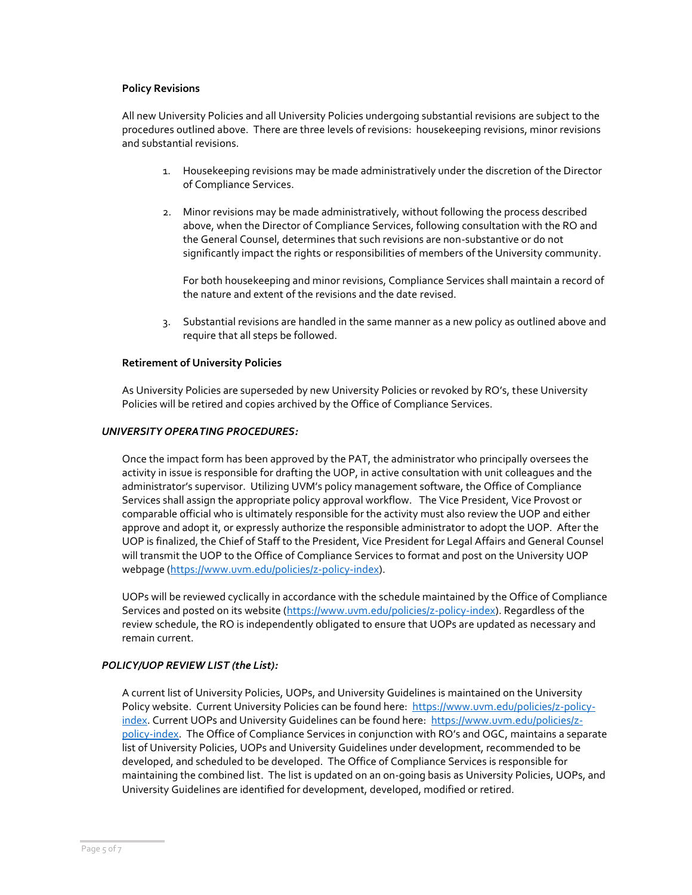#### **Policy Revisions**

All new University Policies and all University Policies undergoing substantial revisions are subject to the procedures outlined above. There are three levels of revisions: housekeeping revisions, minor revisions and substantial revisions.

- 1. Housekeeping revisions may be made administratively under the discretion of the Director of Compliance Services.
- 2. Minor revisions may be made administratively, without following the process described above, when the Director of Compliance Services, following consultation with the RO and the General Counsel, determines that such revisions are non-substantive or do not significantly impact the rights or responsibilities of members of the University community.

For both housekeeping and minor revisions, Compliance Services shall maintain a record of the nature and extent of the revisions and the date revised.

3. Substantial revisions are handled in the same manner as a new policy as outlined above and require that all steps be followed.

#### **Retirement of University Policies**

As University Policies are superseded by new University Policies or revoked by RO's, these University Policies will be retired and copies archived by the Office of Compliance Services.

#### *UNIVERSITY OPERATING PROCEDURES:*

Once the impact form has been approved by the PAT, the administrator who principally oversees the activity in issue is responsible for drafting the UOP, in active consultation with unit colleagues and the administrator's supervisor. Utilizing UVM's policy management software, the Office of Compliance Services shall assign the appropriate policy approval workflow. The Vice President, Vice Provost or comparable official who is ultimately responsible for the activity must also review the UOP and either approve and adopt it, or expressly authorize the responsible administrator to adopt the UOP. After the UOP is finalized, the Chief of Staff to the President, Vice President for Legal Affairs and General Counsel will transmit the UOP to the Office of Compliance Services to format and post on the University UOP webpage [\(https://www.uvm.edu/policies/z-policy-index\)](https://www.uvm.edu/policies/z-policy-index).

UOPs will be reviewed cyclically in accordance with the schedule maintained by the Office of Compliance Services and posted on its website [\(https://www.uvm.edu/policies/z-policy-index\)](https://www.uvm.edu/policies/z-policy-index). Regardless of the review schedule, the RO is independently obligated to ensure that UOPs are updated as necessary and remain current.

#### *POLICY/UOP REVIEW LIST (the List):*

A current list of University Policies, UOPs, and University Guidelines is maintained on the University Policy website. Current University Policies can be found here: [https://www.uvm.edu/policies/z-policy](https://www.uvm.edu/policies/z-policy-index)[index.](https://www.uvm.edu/policies/z-policy-index) Current UOPs and University Guidelines can be found here: [https://www.uvm.edu/policies/z](https://www.uvm.edu/policies/z-policy-index)[policy-index](https://www.uvm.edu/policies/z-policy-index). The Office of Compliance Services in conjunction with RO's and OGC, maintains a separate list of University Policies, UOPs and University Guidelines under development, recommended to be developed, and scheduled to be developed. The Office of Compliance Services is responsible for maintaining the combined list. The list is updated on an on-going basis as University Policies, UOPs, and University Guidelines are identified for development, developed, modified or retired.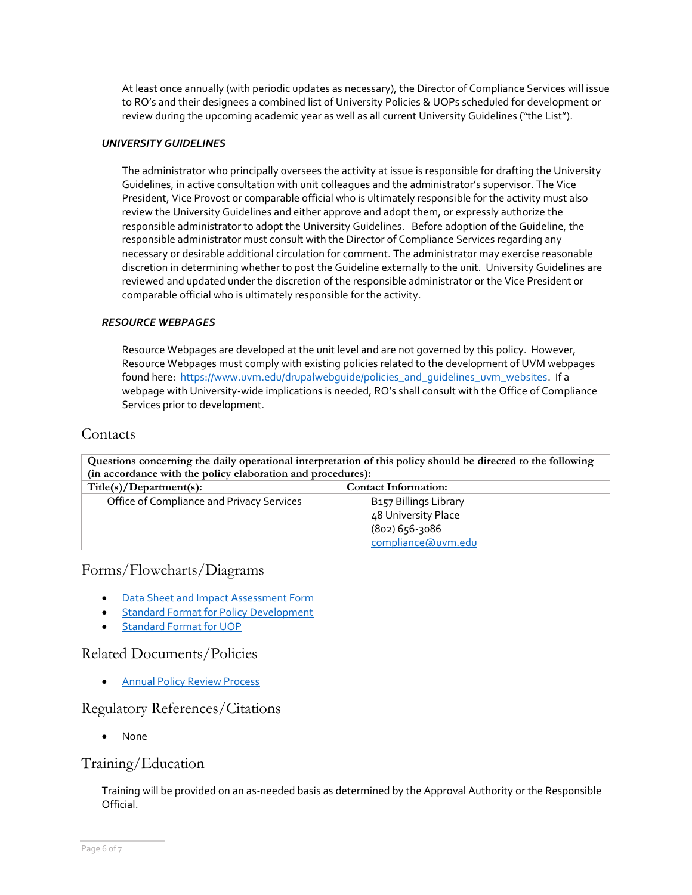At least once annually (with periodic updates as necessary), the Director of Compliance Services will issue to RO's and their designees a combined list of University Policies & UOPs scheduled for development or review during the upcoming academic year as well as all current University Guidelines ("the List").

#### *UNIVERSITY GUIDELINES*

The administrator who principally oversees the activity at issue is responsible for drafting the University Guidelines, in active consultation with unit colleagues and the administrator's supervisor. The Vice President, Vice Provost or comparable official who is ultimately responsible for the activity must also review the University Guidelines and either approve and adopt them, or expressly authorize the responsible administrator to adopt the University Guidelines. Before adoption of the Guideline, the responsible administrator must consult with the Director of Compliance Services regarding any necessary or desirable additional circulation for comment. The administrator may exercise reasonable discretion in determining whether to post the Guideline externally to the unit. University Guidelines are reviewed and updated under the discretion of the responsible administrator or the Vice President or comparable official who is ultimately responsible for the activity.

#### *RESOURCE WEBPAGES*

Resource Webpages are developed at the unit level and are not governed by this policy. However, Resource Webpages must comply with existing policies related to the development of UVM webpages found here: [https://www.uvm.edu/drupalwebguide/policies\\_and\\_guidelines\\_uvm\\_websites.](https://www.uvm.edu/drupalwebguide/policies_and_guidelines_uvm_websites) If a webpage with University-wide implications is needed, RO's shall consult with the Office of Compliance Services prior to development.

#### **Contacts**

| Questions concerning the daily operational interpretation of this policy should be directed to the following |                                   |  |
|--------------------------------------------------------------------------------------------------------------|-----------------------------------|--|
| (in accordance with the policy elaboration and procedures):                                                  |                                   |  |
| Title(s)/Department(s):                                                                                      | <b>Contact Information:</b>       |  |
| Office of Compliance and Privacy Services                                                                    | B <sub>157</sub> Billings Library |  |
|                                                                                                              | 48 University Place               |  |
|                                                                                                              | $(802)$ 656-3086                  |  |
|                                                                                                              | compliance@uvm.edu                |  |

## Forms/Flowcharts/Diagrams

- Data Sheet and [Impact Assessment Form](https://www.uvm.edu/policies/forms/data-sheet-and-impact-assessment-form)
- [Standard Format for Policy Development](https://www.uvm.edu/sites/default/files/UVM-Policies/Templates/Policy_Template.docx)
- [Standard Format for UOP](https://www.uvm.edu/sites/default/files/UVM-Policies/Templates/UOP_Template.docx)

### Related Documents/Policies

• [Annual Policy Review Process](https://www.uvm.edu/policies/policy-process)

### Regulatory References/Citations

• None

### Training/Education

Training will be provided on an as-needed basis as determined by the Approval Authority or the Responsible Official.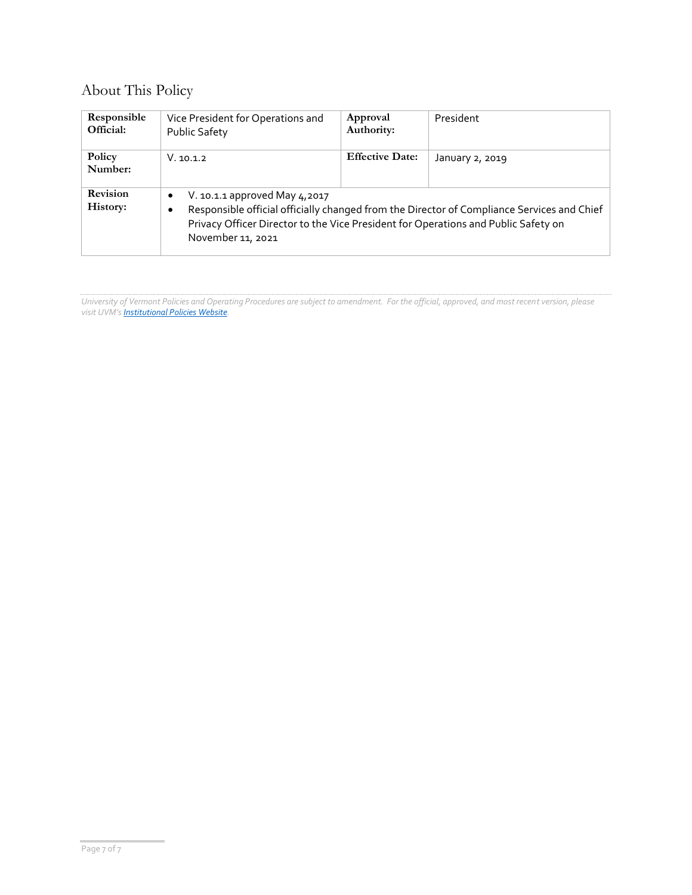## About This Policy

| Responsible<br>Official: | Vice President for Operations and<br><b>Public Safety</b>                                                                                                                                                                                                | Approval<br>Authority: | President       |
|--------------------------|----------------------------------------------------------------------------------------------------------------------------------------------------------------------------------------------------------------------------------------------------------|------------------------|-----------------|
| Policy<br>Number:        | V. 10.1.2                                                                                                                                                                                                                                                | <b>Effective Date:</b> | January 2, 2019 |
| Revision<br>History:     | V. 10.1.1 approved May 4,2017<br>$\bullet$<br>Responsible official officially changed from the Director of Compliance Services and Chief<br>٠<br>Privacy Officer Director to the Vice President for Operations and Public Safety on<br>November 11, 2021 |                        |                 |

*University of Vermont Policies and Operating Procedures are subject to amendment. For the official, approved, and most recent version, please visit UVM's [Institutional Policies Website.](http://www.uvm.edu/policies/)*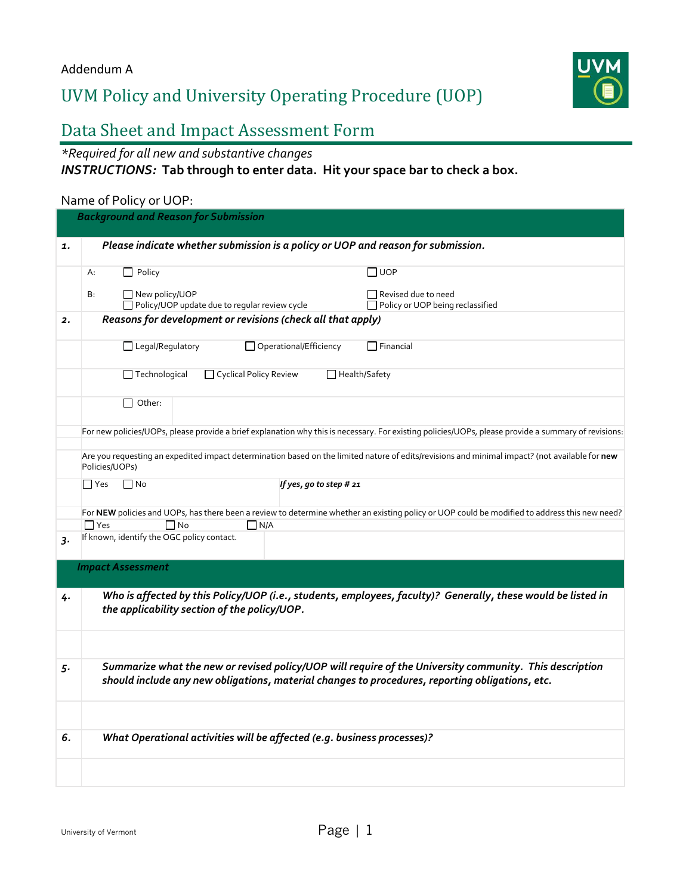# UVM Policy and University Operating Procedure (UOP)



## Data Sheet and Impact Assessment Form

*\*Required for all new and substantive changes*

*INSTRUCTIONS:* **Tab through to enter data. Hit your space bar to check a box.**

## Name of Policy or UOP:

| <b>Background and Reason for Submission</b>                                                                                                                                                                |
|------------------------------------------------------------------------------------------------------------------------------------------------------------------------------------------------------------|
| Please indicate whether submission is a policy or UOP and reason for submission.                                                                                                                           |
| $\Box$ Policy<br>$\Box$ UOP<br>A:                                                                                                                                                                          |
| □ New policy/UOP<br>Revised due to need<br>B:<br>□ Policy/UOP update due to regular review cycle<br>□ Policy or UOP being reclassified                                                                     |
| Reasons for development or revisions (check all that apply)                                                                                                                                                |
| Legal/Regulatory<br>□ Operational/Efficiency<br>$\Box$ Financial                                                                                                                                           |
| $\Box$ Technological<br>Cyclical Policy Review<br>$\Box$ Health/Safety                                                                                                                                     |
| $\Box$ Other:                                                                                                                                                                                              |
| For new policies/UOPs, please provide a brief explanation why this is necessary. For existing policies/UOPs, please provide a summary of revisions:                                                        |
| Are you requesting an expedited impact determination based on the limited nature of edits/revisions and minimal impact? (not available for new<br>Policies/UOPs)                                           |
| $\Box$ No<br>$\Box$ Yes<br>If yes, go to step # 21                                                                                                                                                         |
| For NEW policies and UOPs, has there been a review to determine whether an existing policy or UOP could be modified to address this new need?<br>$\Box$ Yes<br>$\Box$ No<br>$\Box$ N/A                     |
| If known, identify the OGC policy contact.                                                                                                                                                                 |
| <b>Impact Assessment</b>                                                                                                                                                                                   |
| Who is affected by this Policy/UOP (i.e., students, employees, faculty)? Generally, these would be listed in<br>the applicability section of the policy/UOP.                                               |
|                                                                                                                                                                                                            |
| Summarize what the new or revised policy/UOP will require of the University community. This description<br>should include any new obligations, material changes to procedures, reporting obligations, etc. |
|                                                                                                                                                                                                            |
| What Operational activities will be affected (e.g. business processes)?                                                                                                                                    |
|                                                                                                                                                                                                            |
|                                                                                                                                                                                                            |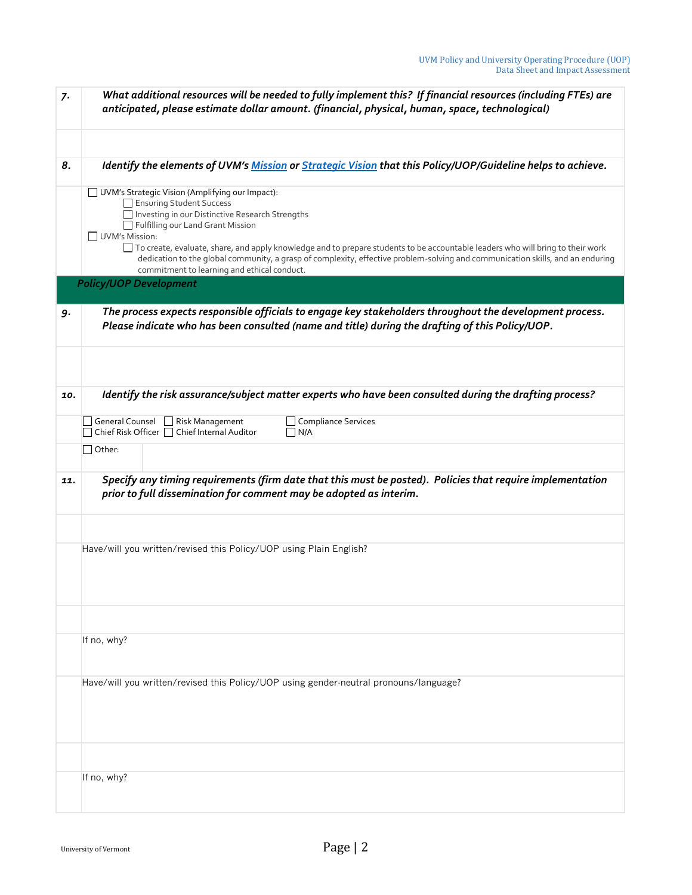| 7.  | What additional resources will be needed to fully implement this? If financial resources (including FTEs) are<br>anticipated, please estimate dollar amount. (financial, physical, human, space, technological)                                                                                                                                                                                                                                                                                            |
|-----|------------------------------------------------------------------------------------------------------------------------------------------------------------------------------------------------------------------------------------------------------------------------------------------------------------------------------------------------------------------------------------------------------------------------------------------------------------------------------------------------------------|
| 8.  | Identify the elements of UVM's Mission or Strategic Vision that this Policy/UOP/Guideline helps to achieve.                                                                                                                                                                                                                                                                                                                                                                                                |
|     | UVM's Strategic Vision (Amplifying our Impact):<br>Ensuring Student Success<br>Investing in our Distinctive Research Strengths<br>Fulfilling our Land Grant Mission<br>UVM's Mission:<br>□ To create, evaluate, share, and apply knowledge and to prepare students to be accountable leaders who will bring to their work<br>dedication to the global community, a grasp of complexity, effective problem-solving and communication skills, and an enduring<br>commitment to learning and ethical conduct. |
|     | <b>Policy/UOP Development</b>                                                                                                                                                                                                                                                                                                                                                                                                                                                                              |
| 9.  | The process expects responsible officials to engage key stakeholders throughout the development process.<br>Please indicate who has been consulted (name and title) during the drafting of this Policy/UOP.                                                                                                                                                                                                                                                                                                |
|     |                                                                                                                                                                                                                                                                                                                                                                                                                                                                                                            |
| 10. | Identify the risk assurance/subject matter experts who have been consulted during the drafting process?                                                                                                                                                                                                                                                                                                                                                                                                    |
|     | General Counsel   Risk Management<br>□ Compliance Services<br>Chief Risk Officer   Chief Internal Auditor<br>$\n  1N/A$                                                                                                                                                                                                                                                                                                                                                                                    |
|     | $\Box$ Other:                                                                                                                                                                                                                                                                                                                                                                                                                                                                                              |
| 11. | Specify any timing requirements (firm date that this must be posted). Policies that require implementation<br>prior to full dissemination for comment may be adopted as interim.                                                                                                                                                                                                                                                                                                                           |
|     |                                                                                                                                                                                                                                                                                                                                                                                                                                                                                                            |
|     | Have/will you written/revised this Policy/UOP using Plain English?                                                                                                                                                                                                                                                                                                                                                                                                                                         |
|     |                                                                                                                                                                                                                                                                                                                                                                                                                                                                                                            |
|     | If no, why?                                                                                                                                                                                                                                                                                                                                                                                                                                                                                                |
|     | Have/will you written/revised this Policy/UOP using gender-neutral pronouns/language?                                                                                                                                                                                                                                                                                                                                                                                                                      |
|     |                                                                                                                                                                                                                                                                                                                                                                                                                                                                                                            |
|     | If no, why?                                                                                                                                                                                                                                                                                                                                                                                                                                                                                                |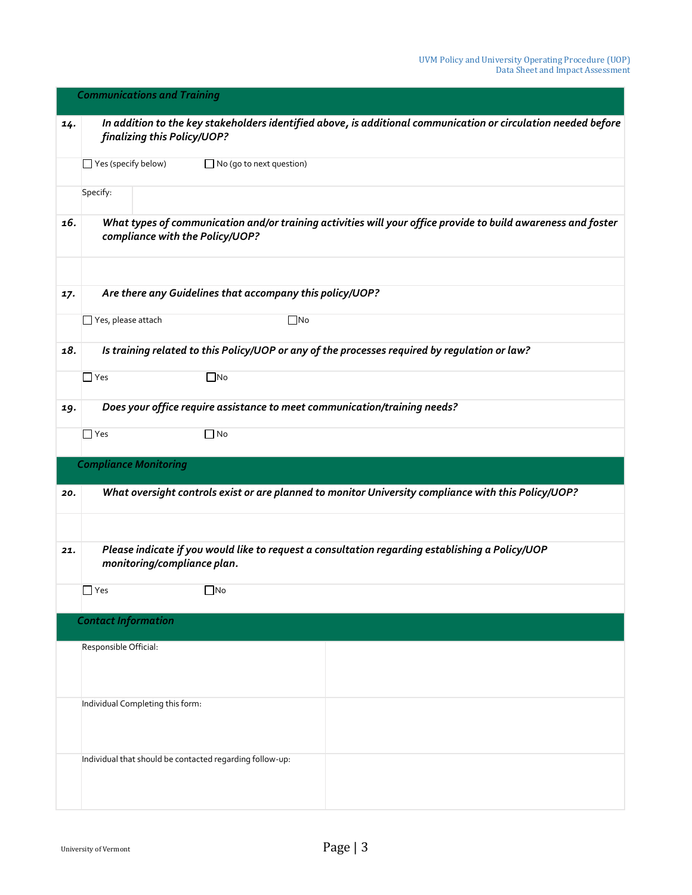|     | <b>Communications and Training</b> |                                                                                                                                                  |  |
|-----|------------------------------------|--------------------------------------------------------------------------------------------------------------------------------------------------|--|
| 14. |                                    | In addition to the key stakeholders identified above, is additional communication or circulation needed before<br>finalizing this Policy/UOP?    |  |
|     | $\Box$ Yes (specify below)         | □ No (go to next question)                                                                                                                       |  |
|     | Specify:                           |                                                                                                                                                  |  |
| 16. |                                    | What types of communication and/or training activities will your office provide to build awareness and foster<br>compliance with the Policy/UOP? |  |
|     |                                    | Are there any Guidelines that accompany this policy/UOP?                                                                                         |  |
| 17. |                                    |                                                                                                                                                  |  |
|     | Yes, please attach                 | $\Box$ No                                                                                                                                        |  |
| 18. |                                    | Is training related to this Policy/UOP or any of the processes required by regulation or law?                                                    |  |
|     | $\Box$ Yes                         | $\Box$ No                                                                                                                                        |  |
| 19. |                                    | Does your office require assistance to meet communication/training needs?                                                                        |  |
|     | $\Box$ Yes                         | $\Box$ No                                                                                                                                        |  |
|     |                                    | <b>Compliance Monitoring</b>                                                                                                                     |  |
| 20. |                                    | What oversight controls exist or are planned to monitor University compliance with this Policy/UOP?                                              |  |
|     |                                    |                                                                                                                                                  |  |
| 21. |                                    | Please indicate if you would like to request a consultation regarding establishing a Policy/UOP<br>monitoring/compliance plan.                   |  |
|     | $\Box$ Yes                         | $\square$ No                                                                                                                                     |  |
|     |                                    | <b>Contact Information</b>                                                                                                                       |  |
|     | Responsible Official:              |                                                                                                                                                  |  |
|     |                                    |                                                                                                                                                  |  |
|     |                                    | Individual Completing this form:                                                                                                                 |  |
|     |                                    |                                                                                                                                                  |  |
|     |                                    | Individual that should be contacted regarding follow-up:                                                                                         |  |
|     |                                    |                                                                                                                                                  |  |
|     |                                    |                                                                                                                                                  |  |